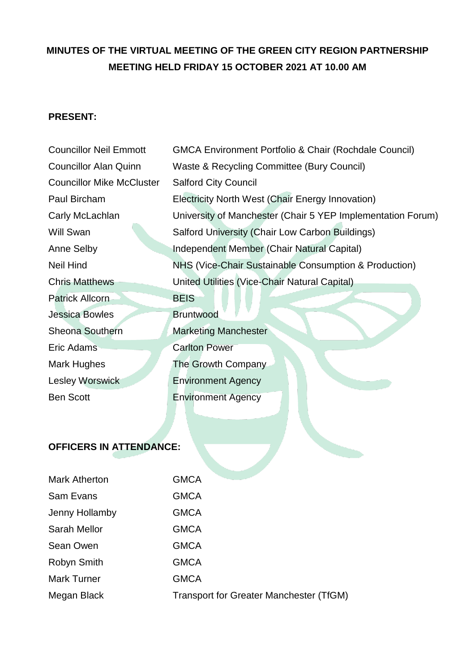# **MINUTES OF THE VIRTUAL MEETING OF THE GREEN CITY REGION PARTNERSHIP MEETING HELD FRIDAY 15 OCTOBER 2021 AT 10.00 AM**

## **PRESENT:**

| <b>Councillor Neil Emmott</b>    | <b>GMCA Environment Portfolio &amp; Chair (Rochdale Council)</b> |
|----------------------------------|------------------------------------------------------------------|
| <b>Councillor Alan Quinn</b>     | Waste & Recycling Committee (Bury Council)                       |
| <b>Councillor Mike McCluster</b> | <b>Salford City Council</b>                                      |
| Paul Bircham                     | Electricity North West (Chair Energy Innovation)                 |
| Carly McLachlan                  | University of Manchester (Chair 5 YEP Implementation Forum)      |
| Will Swan                        | Salford University (Chair Low Carbon Buildings)                  |
| Anne Selby                       | Independent Member (Chair Natural Capital)                       |
| <b>Neil Hind</b>                 | NHS (Vice-Chair Sustainable Consumption & Production)            |
| <b>Chris Matthews</b>            | United Utilities (Vice-Chair Natural Capital)                    |
| <b>Patrick Allcorn</b>           | <b>BEIS</b>                                                      |
| <b>Jessica Bowles</b>            | <b>Bruntwood</b>                                                 |
| <b>Sheona Southern</b>           | <b>Marketing Manchester</b>                                      |
| Eric Adams                       | <b>Carlton Power</b>                                             |
| Mark Hughes                      | The Growth Company                                               |
| <b>Lesley Worswick</b>           | <b>Environment Agency</b>                                        |
| <b>Ben Scott</b>                 | <b>Environment Agency</b>                                        |

## **OFFICERS IN ATTENDANCE:**

| <b>Mark Atherton</b> | <b>GMCA</b>                             |
|----------------------|-----------------------------------------|
| Sam Evans            | <b>GMCA</b>                             |
| Jenny Hollamby       | <b>GMCA</b>                             |
| <b>Sarah Mellor</b>  | <b>GMCA</b>                             |
| Sean Owen            | <b>GMCA</b>                             |
| Robyn Smith          | <b>GMCA</b>                             |
| <b>Mark Turner</b>   | <b>GMCA</b>                             |
| Megan Black          | Transport for Greater Manchester (TfGM) |
|                      |                                         |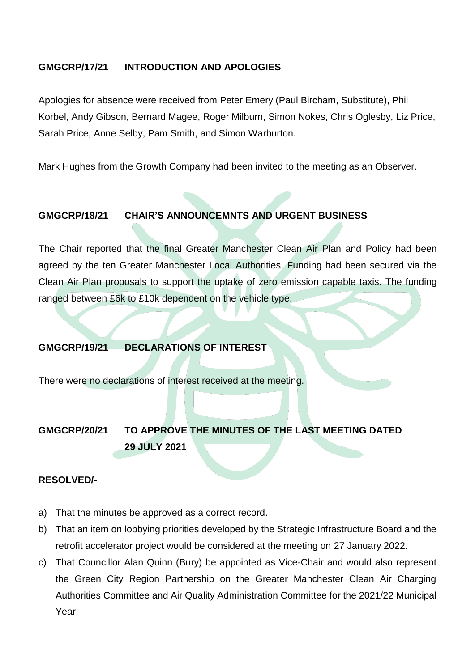#### **GMGCRP/17/21 INTRODUCTION AND APOLOGIES**

Apologies for absence were received from Peter Emery (Paul Bircham, Substitute), Phil Korbel, Andy Gibson, Bernard Magee, Roger Milburn, Simon Nokes, Chris Oglesby, Liz Price, Sarah Price, Anne Selby, Pam Smith, and Simon Warburton.

Mark Hughes from the Growth Company had been invited to the meeting as an Observer.

## **GMGCRP/18/21 CHAIR'S ANNOUNCEMNTS AND URGENT BUSINESS**

The Chair reported that the final Greater Manchester Clean Air Plan and Policy had been agreed by the ten Greater Manchester Local Authorities. Funding had been secured via the Clean Air Plan proposals to support the uptake of zero emission capable taxis. The funding ranged between £6k to £10k dependent on the vehicle type.

#### **GMGCRP/19/21 DECLARATIONS OF INTEREST**

There were no declarations of interest received at the meeting.

# **GMGCRP/20/21 TO APPROVE THE MINUTES OF THE LAST MEETING DATED 29 JULY 2021**

#### **RESOLVED/-**

- a) That the minutes be approved as a correct record.
- b) That an item on lobbying priorities developed by the Strategic Infrastructure Board and the retrofit accelerator project would be considered at the meeting on 27 January 2022.
- c) That Councillor Alan Quinn (Bury) be appointed as Vice-Chair and would also represent the Green City Region Partnership on the Greater Manchester Clean Air Charging Authorities Committee and Air Quality Administration Committee for the 2021/22 Municipal Year.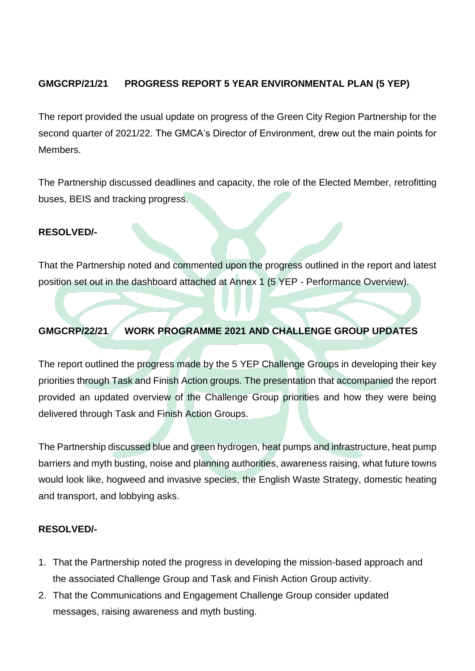## **GMGCRP/21/21 PROGRESS REPORT 5 YEAR ENVIRONMENTAL PLAN (5 YEP)**

The report provided the usual update on progress of the Green City Region Partnership for the second quarter of 2021/22. The GMCA's Director of Environment, drew out the main points for Members.

The Partnership discussed deadlines and capacity, the role of the Elected Member, retrofitting buses, BEIS and tracking progress.

## **RESOLVED/-**

That the Partnership noted and commented upon the progress outlined in the report and latest position set out in the dashboard attached at Annex 1 (5 YEP - Performance Overview).

# **GMGCRP/22/21 WORK PROGRAMME 2021 AND CHALLENGE GROUP UPDATES**

The report outlined the progress made by the 5 YEP Challenge Groups in developing their key priorities through Task and Finish Action groups. The presentation that accompanied the report provided an updated overview of the Challenge Group priorities and how they were being delivered through Task and Finish Action Groups.

The Partnership discussed blue and green hydrogen, heat pumps and infrastructure, heat pump barriers and myth busting, noise and planning authorities, awareness raising, what future towns would look like, hogweed and invasive species, the English Waste Strategy, domestic heating and transport, and lobbying asks.

## **RESOLVED/-**

- 1. That the Partnership noted the progress in developing the mission-based approach and the associated Challenge Group and Task and Finish Action Group activity.
- 2. That the Communications and Engagement Challenge Group consider updated messages, raising awareness and myth busting.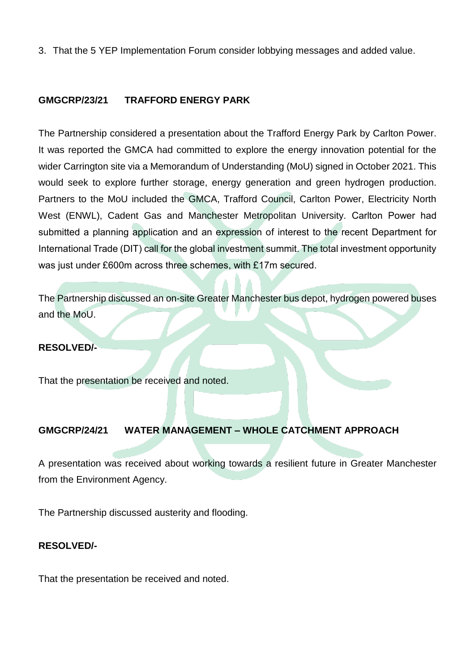3. That the 5 YEP Implementation Forum consider lobbying messages and added value.

## **GMGCRP/23/21 TRAFFORD ENERGY PARK**

The Partnership considered a presentation about the Trafford Energy Park by Carlton Power. It was reported the GMCA had committed to explore the energy innovation potential for the wider Carrington site via a Memorandum of Understanding (MoU) signed in October 2021. This would seek to explore further storage, energy generation and green hydrogen production. Partners to the MoU included the GMCA, Trafford Council, Carlton Power, Electricity North West (ENWL), Cadent Gas and Manchester Metropolitan University. Carlton Power had submitted a planning application and an expression of interest to the recent Department for International Trade (DIT) call for the global investment summit. The total investment opportunity was just under £600m across three schemes, with £17m secured.

The Partnership discussed an on-site Greater Manchester bus depot, hydrogen powered buses and the MoU.

## **RESOLVED/-**

That the presentation be received and noted.

## **GMGCRP/24/21 WATER MANAGEMENT – WHOLE CATCHMENT APPROACH**

A presentation was received about working towards a resilient future in Greater Manchester from the Environment Agency.

The Partnership discussed austerity and flooding.

## **RESOLVED/-**

That the presentation be received and noted.